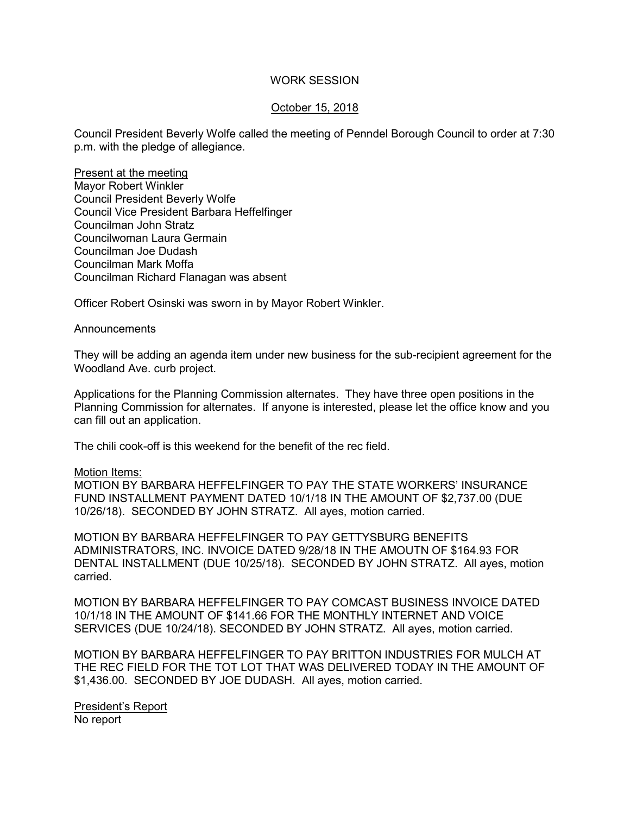## WORK SESSION

## October 15, 2018

Council President Beverly Wolfe called the meeting of Penndel Borough Council to order at 7:30 p.m. with the pledge of allegiance.

Present at the meeting Mayor Robert Winkler Council President Beverly Wolfe Council Vice President Barbara Heffelfinger Councilman John Stratz Councilwoman Laura Germain Councilman Joe Dudash Councilman Mark Moffa Councilman Richard Flanagan was absent

Officer Robert Osinski was sworn in by Mayor Robert Winkler.

### Announcements

They will be adding an agenda item under new business for the sub-recipient agreement for the Woodland Ave. curb project.

Applications for the Planning Commission alternates. They have three open positions in the Planning Commission for alternates. If anyone is interested, please let the office know and you can fill out an application.

The chili cook-off is this weekend for the benefit of the rec field.

## Motion Items:

MOTION BY BARBARA HEFFELFINGER TO PAY THE STATE WORKERS' INSURANCE FUND INSTALLMENT PAYMENT DATED 10/1/18 IN THE AMOUNT OF \$2,737.00 (DUE 10/26/18). SECONDED BY JOHN STRATZ. All ayes, motion carried.

MOTION BY BARBARA HEFFELFINGER TO PAY GETTYSBURG BENEFITS ADMINISTRATORS, INC. INVOICE DATED 9/28/18 IN THE AMOUTN OF \$164.93 FOR DENTAL INSTALLMENT (DUE 10/25/18). SECONDED BY JOHN STRATZ. All ayes, motion carried.

MOTION BY BARBARA HEFFELFINGER TO PAY COMCAST BUSINESS INVOICE DATED 10/1/18 IN THE AMOUNT OF \$141.66 FOR THE MONTHLY INTERNET AND VOICE SERVICES (DUE 10/24/18). SECONDED BY JOHN STRATZ. All ayes, motion carried.

MOTION BY BARBARA HEFFELFINGER TO PAY BRITTON INDUSTRIES FOR MULCH AT THE REC FIELD FOR THE TOT LOT THAT WAS DELIVERED TODAY IN THE AMOUNT OF \$1,436.00. SECONDED BY JOE DUDASH. All ayes, motion carried.

President's Report No report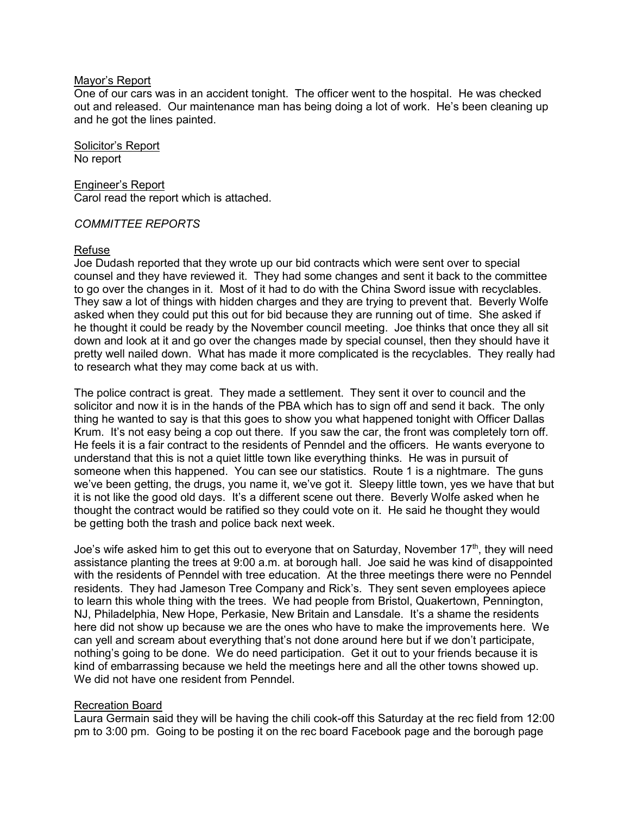## Mayor's Report

One of our cars was in an accident tonight. The officer went to the hospital. He was checked out and released. Our maintenance man has being doing a lot of work. He's been cleaning up and he got the lines painted.

Solicitor's Report No report

Engineer's Report Carol read the report which is attached.

## *COMMITTEE REPORTS*

## Refuse

Joe Dudash reported that they wrote up our bid contracts which were sent over to special counsel and they have reviewed it. They had some changes and sent it back to the committee to go over the changes in it. Most of it had to do with the China Sword issue with recyclables. They saw a lot of things with hidden charges and they are trying to prevent that. Beverly Wolfe asked when they could put this out for bid because they are running out of time. She asked if he thought it could be ready by the November council meeting. Joe thinks that once they all sit down and look at it and go over the changes made by special counsel, then they should have it pretty well nailed down. What has made it more complicated is the recyclables. They really had to research what they may come back at us with.

The police contract is great. They made a settlement. They sent it over to council and the solicitor and now it is in the hands of the PBA which has to sign off and send it back. The only thing he wanted to say is that this goes to show you what happened tonight with Officer Dallas Krum. It's not easy being a cop out there. If you saw the car, the front was completely torn off. He feels it is a fair contract to the residents of Penndel and the officers. He wants everyone to understand that this is not a quiet little town like everything thinks. He was in pursuit of someone when this happened. You can see our statistics. Route 1 is a nightmare. The guns we've been getting, the drugs, you name it, we've got it. Sleepy little town, yes we have that but it is not like the good old days. It's a different scene out there. Beverly Wolfe asked when he thought the contract would be ratified so they could vote on it. He said he thought they would be getting both the trash and police back next week.

Joe's wife asked him to get this out to everyone that on Saturday, November  $17<sup>th</sup>$ , they will need assistance planting the trees at 9:00 a.m. at borough hall. Joe said he was kind of disappointed with the residents of Penndel with tree education. At the three meetings there were no Penndel residents. They had Jameson Tree Company and Rick's. They sent seven employees apiece to learn this whole thing with the trees. We had people from Bristol, Quakertown, Pennington, NJ, Philadelphia, New Hope, Perkasie, New Britain and Lansdale. It's a shame the residents here did not show up because we are the ones who have to make the improvements here. We can yell and scream about everything that's not done around here but if we don't participate, nothing's going to be done. We do need participation. Get it out to your friends because it is kind of embarrassing because we held the meetings here and all the other towns showed up. We did not have one resident from Penndel.

## Recreation Board

Laura Germain said they will be having the chili cook-off this Saturday at the rec field from 12:00 pm to 3:00 pm. Going to be posting it on the rec board Facebook page and the borough page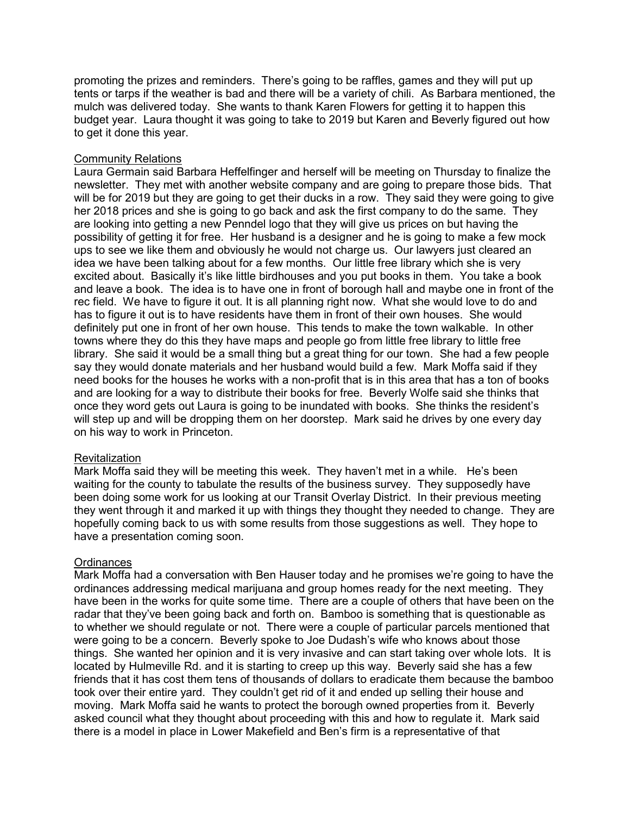promoting the prizes and reminders. There's going to be raffles, games and they will put up tents or tarps if the weather is bad and there will be a variety of chili. As Barbara mentioned, the mulch was delivered today. She wants to thank Karen Flowers for getting it to happen this budget year. Laura thought it was going to take to 2019 but Karen and Beverly figured out how to get it done this year.

## Community Relations

Laura Germain said Barbara Heffelfinger and herself will be meeting on Thursday to finalize the newsletter. They met with another website company and are going to prepare those bids. That will be for 2019 but they are going to get their ducks in a row. They said they were going to give her 2018 prices and she is going to go back and ask the first company to do the same. They are looking into getting a new Penndel logo that they will give us prices on but having the possibility of getting it for free. Her husband is a designer and he is going to make a few mock ups to see we like them and obviously he would not charge us. Our lawyers just cleared an idea we have been talking about for a few months. Our little free library which she is very excited about. Basically it's like little birdhouses and you put books in them. You take a book and leave a book. The idea is to have one in front of borough hall and maybe one in front of the rec field. We have to figure it out. It is all planning right now. What she would love to do and has to figure it out is to have residents have them in front of their own houses. She would definitely put one in front of her own house. This tends to make the town walkable. In other towns where they do this they have maps and people go from little free library to little free library. She said it would be a small thing but a great thing for our town. She had a few people say they would donate materials and her husband would build a few. Mark Moffa said if they need books for the houses he works with a non-profit that is in this area that has a ton of books and are looking for a way to distribute their books for free. Beverly Wolfe said she thinks that once they word gets out Laura is going to be inundated with books. She thinks the resident's will step up and will be dropping them on her doorstep. Mark said he drives by one every day on his way to work in Princeton.

# **Revitalization**

Mark Moffa said they will be meeting this week. They haven't met in a while. He's been waiting for the county to tabulate the results of the business survey. They supposedly have been doing some work for us looking at our Transit Overlay District. In their previous meeting they went through it and marked it up with things they thought they needed to change. They are hopefully coming back to us with some results from those suggestions as well. They hope to have a presentation coming soon.

# **Ordinances**

Mark Moffa had a conversation with Ben Hauser today and he promises we're going to have the ordinances addressing medical marijuana and group homes ready for the next meeting. They have been in the works for quite some time. There are a couple of others that have been on the radar that they've been going back and forth on. Bamboo is something that is questionable as to whether we should regulate or not. There were a couple of particular parcels mentioned that were going to be a concern. Beverly spoke to Joe Dudash's wife who knows about those things. She wanted her opinion and it is very invasive and can start taking over whole lots. It is located by Hulmeville Rd. and it is starting to creep up this way. Beverly said she has a few friends that it has cost them tens of thousands of dollars to eradicate them because the bamboo took over their entire yard. They couldn't get rid of it and ended up selling their house and moving. Mark Moffa said he wants to protect the borough owned properties from it. Beverly asked council what they thought about proceeding with this and how to regulate it. Mark said there is a model in place in Lower Makefield and Ben's firm is a representative of that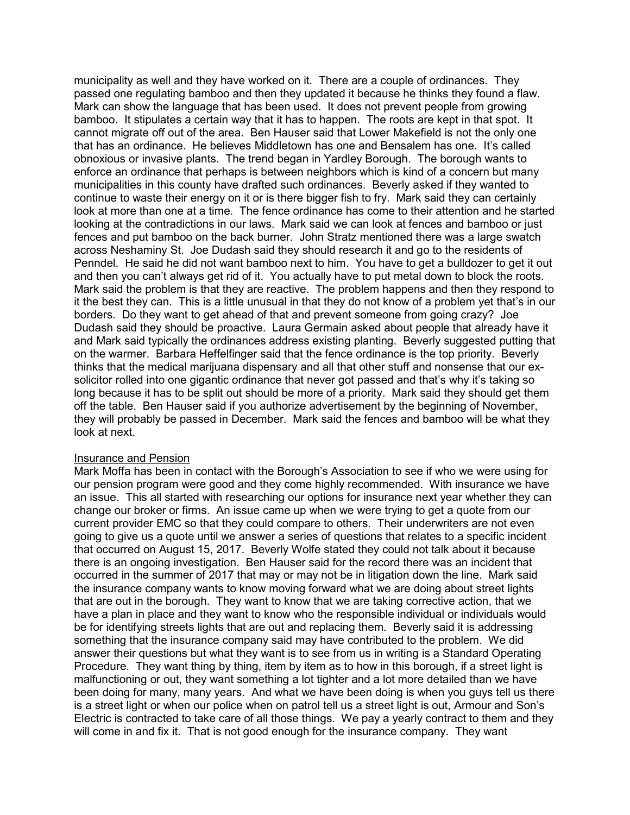municipality as well and they have worked on it. There are a couple of ordinances. They passed one regulating bamboo and then they updated it because he thinks they found a flaw. Mark can show the language that has been used. It does not prevent people from growing bamboo. It stipulates a certain way that it has to happen. The roots are kept in that spot. It cannot migrate off out of the area. Ben Hauser said that Lower Makefield is not the only one that has an ordinance. He believes Middletown has one and Bensalem has one. It's called obnoxious or invasive plants. The trend began in Yardley Borough. The borough wants to enforce an ordinance that perhaps is between neighbors which is kind of a concern but many municipalities in this county have drafted such ordinances. Beverly asked if they wanted to continue to waste their energy on it or is there bigger fish to fry. Mark said they can certainly look at more than one at a time. The fence ordinance has come to their attention and he started looking at the contradictions in our laws. Mark said we can look at fences and bamboo or just fences and put bamboo on the back burner. John Stratz mentioned there was a large swatch across Neshaminy St. Joe Dudash said they should research it and go to the residents of Penndel. He said he did not want bamboo next to him. You have to get a bulldozer to get it out and then you can't always get rid of it. You actually have to put metal down to block the roots. Mark said the problem is that they are reactive. The problem happens and then they respond to it the best they can. This is a little unusual in that they do not know of a problem yet that's in our borders. Do they want to get ahead of that and prevent someone from going crazy? Joe Dudash said they should be proactive. Laura Germain asked about people that already have it and Mark said typically the ordinances address existing planting. Beverly suggested putting that on the warmer. Barbara Heffelfinger said that the fence ordinance is the top priority. Beverly thinks that the medical marijuana dispensary and all that other stuff and nonsense that our exsolicitor rolled into one gigantic ordinance that never got passed and that's why it's taking so long because it has to be split out should be more of a priority. Mark said they should get them off the table. Ben Hauser said if you authorize advertisement by the beginning of November, they will probably be passed in December. Mark said the fences and bamboo will be what they look at next.

# **Insurance and Pension**

Mark Moffa has been in contact with the Borough's Association to see if who we were using for our pension program were good and they come highly recommended. With insurance we have an issue. This all started with researching our options for insurance next year whether they can change our broker or firms. An issue came up when we were trying to get a quote from our current provider EMC so that they could compare to others. Their underwriters are not even going to give us a quote until we answer a series of questions that relates to a specific incident that occurred on August 15, 2017. Beverly Wolfe stated they could not talk about it because there is an ongoing investigation. Ben Hauser said for the record there was an incident that occurred in the summer of 2017 that may or may not be in litigation down the line. Mark said the insurance company wants to know moving forward what we are doing about street lights that are out in the borough. They want to know that we are taking corrective action, that we have a plan in place and they want to know who the responsible individual or individuals would be for identifying streets lights that are out and replacing them. Beverly said it is addressing something that the insurance company said may have contributed to the problem. We did answer their questions but what they want is to see from us in writing is a Standard Operating Procedure. They want thing by thing, item by item as to how in this borough, if a street light is malfunctioning or out, they want something a lot tighter and a lot more detailed than we have been doing for many, many years. And what we have been doing is when you guys tell us there is a street light or when our police when on patrol tell us a street light is out, Armour and Son's Electric is contracted to take care of all those things. We pay a yearly contract to them and they will come in and fix it. That is not good enough for the insurance company. They want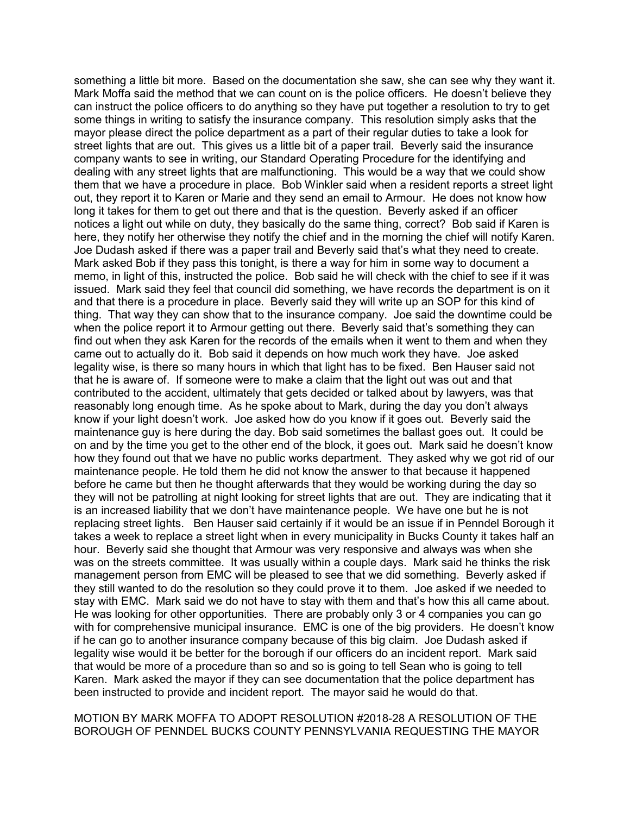something a little bit more. Based on the documentation she saw, she can see why they want it. Mark Moffa said the method that we can count on is the police officers. He doesn't believe they can instruct the police officers to do anything so they have put together a resolution to try to get some things in writing to satisfy the insurance company. This resolution simply asks that the mayor please direct the police department as a part of their regular duties to take a look for street lights that are out. This gives us a little bit of a paper trail. Beverly said the insurance company wants to see in writing, our Standard Operating Procedure for the identifying and dealing with any street lights that are malfunctioning. This would be a way that we could show them that we have a procedure in place. Bob Winkler said when a resident reports a street light out, they report it to Karen or Marie and they send an email to Armour. He does not know how long it takes for them to get out there and that is the question. Beverly asked if an officer notices a light out while on duty, they basically do the same thing, correct? Bob said if Karen is here, they notify her otherwise they notify the chief and in the morning the chief will notify Karen. Joe Dudash asked if there was a paper trail and Beverly said that's what they need to create. Mark asked Bob if they pass this tonight, is there a way for him in some way to document a memo, in light of this, instructed the police. Bob said he will check with the chief to see if it was issued. Mark said they feel that council did something, we have records the department is on it and that there is a procedure in place. Beverly said they will write up an SOP for this kind of thing. That way they can show that to the insurance company. Joe said the downtime could be when the police report it to Armour getting out there. Beverly said that's something they can find out when they ask Karen for the records of the emails when it went to them and when they came out to actually do it. Bob said it depends on how much work they have. Joe asked legality wise, is there so many hours in which that light has to be fixed. Ben Hauser said not that he is aware of. If someone were to make a claim that the light out was out and that contributed to the accident, ultimately that gets decided or talked about by lawyers, was that reasonably long enough time. As he spoke about to Mark, during the day you don't always know if your light doesn't work. Joe asked how do you know if it goes out. Beverly said the maintenance guy is here during the day. Bob said sometimes the ballast goes out. It could be on and by the time you get to the other end of the block, it goes out. Mark said he doesn't know how they found out that we have no public works department. They asked why we got rid of our maintenance people. He told them he did not know the answer to that because it happened before he came but then he thought afterwards that they would be working during the day so they will not be patrolling at night looking for street lights that are out. They are indicating that it is an increased liability that we don't have maintenance people. We have one but he is not replacing street lights. Ben Hauser said certainly if it would be an issue if in Penndel Borough it takes a week to replace a street light when in every municipality in Bucks County it takes half an hour. Beverly said she thought that Armour was very responsive and always was when she was on the streets committee. It was usually within a couple days. Mark said he thinks the risk management person from EMC will be pleased to see that we did something. Beverly asked if they still wanted to do the resolution so they could prove it to them. Joe asked if we needed to stay with EMC. Mark said we do not have to stay with them and that's how this all came about. He was looking for other opportunities. There are probably only 3 or 4 companies you can go with for comprehensive municipal insurance. EMC is one of the big providers. He doesn't know if he can go to another insurance company because of this big claim. Joe Dudash asked if legality wise would it be better for the borough if our officers do an incident report. Mark said that would be more of a procedure than so and so is going to tell Sean who is going to tell Karen. Mark asked the mayor if they can see documentation that the police department has been instructed to provide and incident report. The mayor said he would do that.

## MOTION BY MARK MOFFA TO ADOPT RESOLUTION #2018-28 A RESOLUTION OF THE BOROUGH OF PENNDEL BUCKS COUNTY PENNSYLVANIA REQUESTING THE MAYOR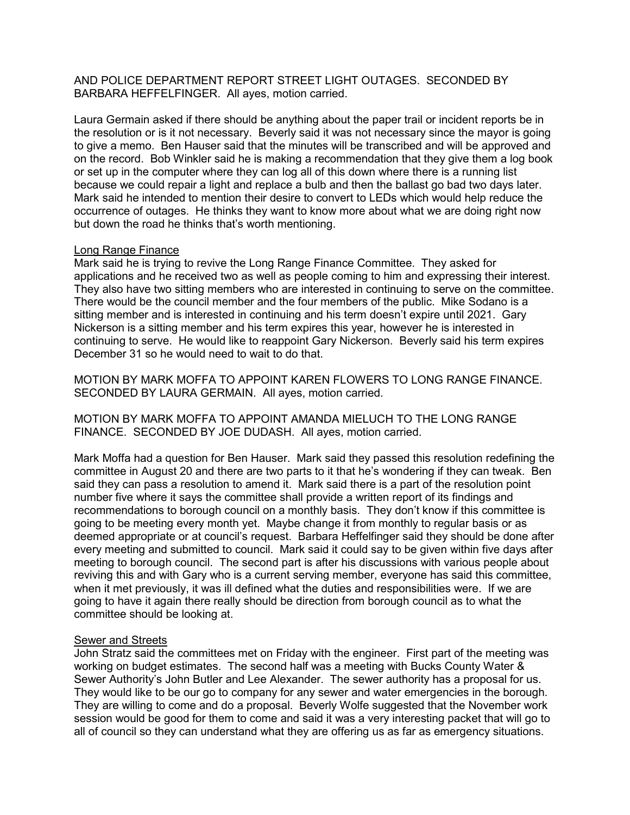AND POLICE DEPARTMENT REPORT STREET LIGHT OUTAGES. SECONDED BY BARBARA HEFFELFINGER. All ayes, motion carried.

Laura Germain asked if there should be anything about the paper trail or incident reports be in the resolution or is it not necessary. Beverly said it was not necessary since the mayor is going to give a memo. Ben Hauser said that the minutes will be transcribed and will be approved and on the record. Bob Winkler said he is making a recommendation that they give them a log book or set up in the computer where they can log all of this down where there is a running list because we could repair a light and replace a bulb and then the ballast go bad two days later. Mark said he intended to mention their desire to convert to LEDs which would help reduce the occurrence of outages. He thinks they want to know more about what we are doing right now but down the road he thinks that's worth mentioning.

### Long Range Finance

Mark said he is trying to revive the Long Range Finance Committee. They asked for applications and he received two as well as people coming to him and expressing their interest. They also have two sitting members who are interested in continuing to serve on the committee. There would be the council member and the four members of the public. Mike Sodano is a sitting member and is interested in continuing and his term doesn't expire until 2021. Gary Nickerson is a sitting member and his term expires this year, however he is interested in continuing to serve. He would like to reappoint Gary Nickerson. Beverly said his term expires December 31 so he would need to wait to do that.

MOTION BY MARK MOFFA TO APPOINT KAREN FLOWERS TO LONG RANGE FINANCE. SECONDED BY LAURA GERMAIN. All ayes, motion carried.

MOTION BY MARK MOFFA TO APPOINT AMANDA MIELUCH TO THE LONG RANGE FINANCE. SECONDED BY JOE DUDASH. All ayes, motion carried.

Mark Moffa had a question for Ben Hauser. Mark said they passed this resolution redefining the committee in August 20 and there are two parts to it that he's wondering if they can tweak. Ben said they can pass a resolution to amend it. Mark said there is a part of the resolution point number five where it says the committee shall provide a written report of its findings and recommendations to borough council on a monthly basis. They don't know if this committee is going to be meeting every month yet. Maybe change it from monthly to regular basis or as deemed appropriate or at council's request. Barbara Heffelfinger said they should be done after every meeting and submitted to council. Mark said it could say to be given within five days after meeting to borough council. The second part is after his discussions with various people about reviving this and with Gary who is a current serving member, everyone has said this committee, when it met previously, it was ill defined what the duties and responsibilities were. If we are going to have it again there really should be direction from borough council as to what the committee should be looking at.

#### Sewer and Streets

John Stratz said the committees met on Friday with the engineer. First part of the meeting was working on budget estimates. The second half was a meeting with Bucks County Water & Sewer Authority's John Butler and Lee Alexander. The sewer authority has a proposal for us. They would like to be our go to company for any sewer and water emergencies in the borough. They are willing to come and do a proposal. Beverly Wolfe suggested that the November work session would be good for them to come and said it was a very interesting packet that will go to all of council so they can understand what they are offering us as far as emergency situations.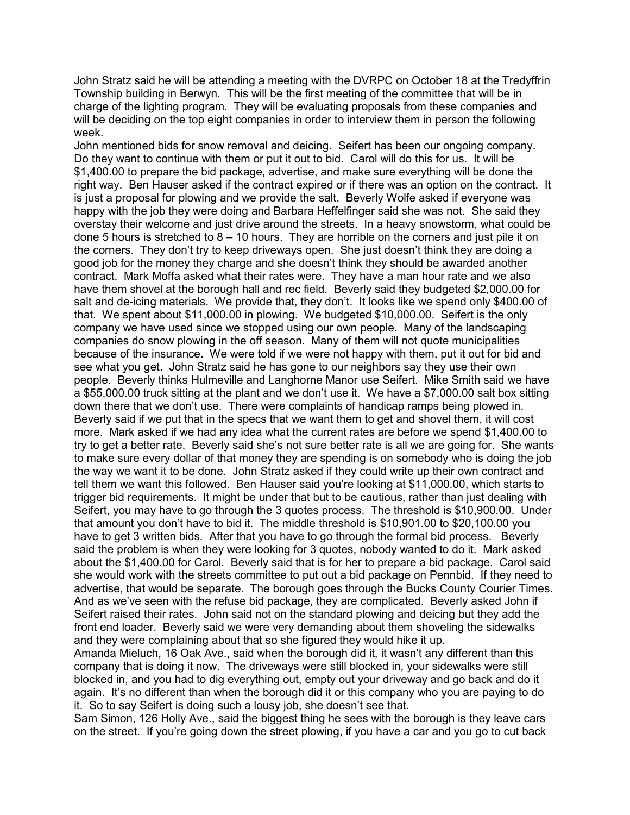John Stratz said he will be attending a meeting with the DVRPC on October 18 at the Tredyffrin Township building in Berwyn. This will be the first meeting of the committee that will be in charge of the lighting program. They will be evaluating proposals from these companies and will be deciding on the top eight companies in order to interview them in person the following week.

John mentioned bids for snow removal and deicing. Seifert has been our ongoing company. Do they want to continue with them or put it out to bid. Carol will do this for us. It will be \$1,400.00 to prepare the bid package, advertise, and make sure everything will be done the right way. Ben Hauser asked if the contract expired or if there was an option on the contract. It is just a proposal for plowing and we provide the salt. Beverly Wolfe asked if everyone was happy with the job they were doing and Barbara Heffelfinger said she was not. She said they overstay their welcome and just drive around the streets. In a heavy snowstorm, what could be done 5 hours is stretched to  $8 - 10$  hours. They are horrible on the corners and just pile it on the corners. They don't try to keep driveways open. She just doesn't think they are doing a good job for the money they charge and she doesn't think they should be awarded another contract. Mark Moffa asked what their rates were. They have a man hour rate and we also have them shovel at the borough hall and rec field. Beverly said they budgeted \$2,000.00 for salt and de-icing materials. We provide that, they don't. It looks like we spend only \$400.00 of that. We spent about \$11,000.00 in plowing. We budgeted \$10,000.00. Seifert is the only company we have used since we stopped using our own people. Many of the landscaping companies do snow plowing in the off season. Many of them will not quote municipalities because of the insurance. We were told if we were not happy with them, put it out for bid and see what you get. John Stratz said he has gone to our neighbors say they use their own people. Beverly thinks Hulmeville and Langhorne Manor use Seifert. Mike Smith said we have a \$55,000.00 truck sitting at the plant and we don't use it. We have a \$7,000.00 salt box sitting down there that we don't use. There were complaints of handicap ramps being plowed in. Beverly said if we put that in the specs that we want them to get and shovel them, it will cost more. Mark asked if we had any idea what the current rates are before we spend \$1,400.00 to try to get a better rate. Beverly said she's not sure better rate is all we are going for. She wants to make sure every dollar of that money they are spending is on somebody who is doing the job the way we want it to be done. John Stratz asked if they could write up their own contract and tell them we want this followed. Ben Hauser said you're looking at \$11,000.00, which starts to trigger bid requirements. It might be under that but to be cautious, rather than just dealing with Seifert, you may have to go through the 3 quotes process. The threshold is \$10,900.00. Under that amount you don't have to bid it. The middle threshold is \$10,901.00 to \$20,100.00 you have to get 3 written bids. After that you have to go through the formal bid process. Beverly said the problem is when they were looking for 3 quotes, nobody wanted to do it. Mark asked about the \$1,400.00 for Carol. Beverly said that is for her to prepare a bid package. Carol said she would work with the streets committee to put out a bid package on Pennbid. If they need to advertise, that would be separate. The borough goes through the Bucks County Courier Times. And as we've seen with the refuse bid package, they are complicated. Beverly asked John if Seifert raised their rates. John said not on the standard plowing and deicing but they add the front end loader. Beverly said we were very demanding about them shoveling the sidewalks and they were complaining about that so she figured they would hike it up.

Amanda Mieluch, 16 Oak Ave., said when the borough did it, it wasn't any different than this company that is doing it now. The driveways were still blocked in, your sidewalks were still blocked in, and you had to dig everything out, empty out your driveway and go back and do it again. It's no different than when the borough did it or this company who you are paying to do it. So to say Seifert is doing such a lousy job, she doesn't see that.

Sam Simon, 126 Holly Ave., said the biggest thing he sees with the borough is they leave cars on the street. If you're going down the street plowing, if you have a car and you go to cut back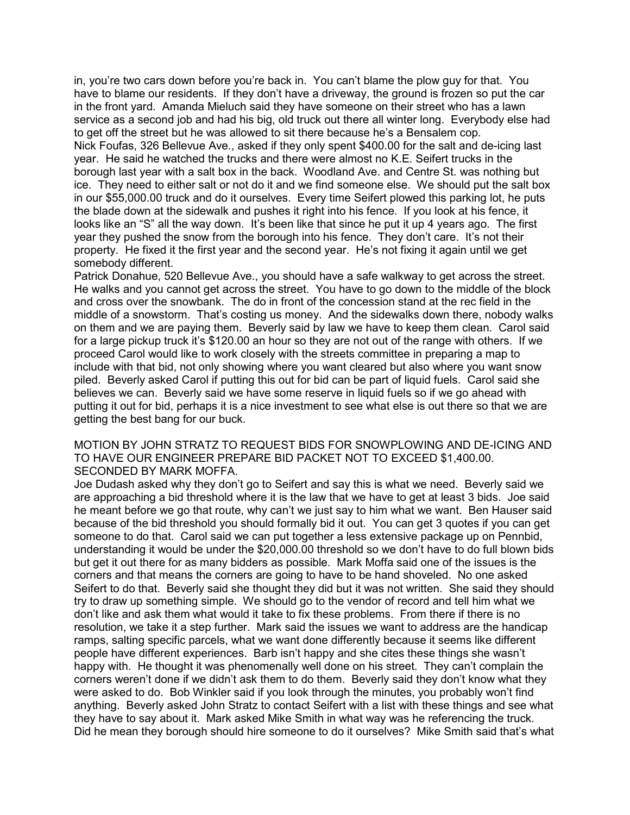in, you're two cars down before you're back in. You can't blame the plow guy for that. You have to blame our residents. If they don't have a driveway, the ground is frozen so put the car in the front yard. Amanda Mieluch said they have someone on their street who has a lawn service as a second job and had his big, old truck out there all winter long. Everybody else had to get off the street but he was allowed to sit there because he's a Bensalem cop. Nick Foufas, 326 Bellevue Ave., asked if they only spent \$400.00 for the salt and de-icing last year. He said he watched the trucks and there were almost no K.E. Seifert trucks in the borough last year with a salt box in the back. Woodland Ave. and Centre St. was nothing but ice. They need to either salt or not do it and we find someone else. We should put the salt box in our \$55,000.00 truck and do it ourselves. Every time Seifert plowed this parking lot, he puts the blade down at the sidewalk and pushes it right into his fence. If you look at his fence, it looks like an "S" all the way down. It's been like that since he put it up 4 years ago. The first year they pushed the snow from the borough into his fence. They don't care. It's not their property. He fixed it the first year and the second year. He's not fixing it again until we get somebody different.

Patrick Donahue, 520 Bellevue Ave., you should have a safe walkway to get across the street. He walks and you cannot get across the street. You have to go down to the middle of the block and cross over the snowbank. The do in front of the concession stand at the rec field in the middle of a snowstorm. That's costing us money. And the sidewalks down there, nobody walks on them and we are paying them. Beverly said by law we have to keep them clean. Carol said for a large pickup truck it's \$120.00 an hour so they are not out of the range with others. If we proceed Carol would like to work closely with the streets committee in preparing a map to include with that bid, not only showing where you want cleared but also where you want snow piled. Beverly asked Carol if putting this out for bid can be part of liquid fuels. Carol said she believes we can. Beverly said we have some reserve in liquid fuels so if we go ahead with putting it out for bid, perhaps it is a nice investment to see what else is out there so that we are getting the best bang for our buck.

## MOTION BY JOHN STRATZ TO REQUEST BIDS FOR SNOWPLOWING AND DE-ICING AND TO HAVE OUR ENGINEER PREPARE BID PACKET NOT TO EXCEED \$1,400.00. SECONDED BY MARK MOFFA.

Joe Dudash asked why they don't go to Seifert and say this is what we need. Beverly said we are approaching a bid threshold where it is the law that we have to get at least 3 bids. Joe said he meant before we go that route, why can't we just say to him what we want. Ben Hauser said because of the bid threshold you should formally bid it out. You can get 3 quotes if you can get someone to do that. Carol said we can put together a less extensive package up on Pennbid, understanding it would be under the \$20,000.00 threshold so we don't have to do full blown bids but get it out there for as many bidders as possible. Mark Moffa said one of the issues is the corners and that means the corners are going to have to be hand shoveled. No one asked Seifert to do that. Beverly said she thought they did but it was not written. She said they should try to draw up something simple. We should go to the vendor of record and tell him what we don't like and ask them what would it take to fix these problems. From there if there is no resolution, we take it a step further. Mark said the issues we want to address are the handicap ramps, salting specific parcels, what we want done differently because it seems like different people have different experiences. Barb isn't happy and she cites these things she wasn't happy with. He thought it was phenomenally well done on his street. They can't complain the corners weren't done if we didn't ask them to do them. Beverly said they don't know what they were asked to do. Bob Winkler said if you look through the minutes, you probably won't find anything. Beverly asked John Stratz to contact Seifert with a list with these things and see what they have to say about it. Mark asked Mike Smith in what way was he referencing the truck. Did he mean they borough should hire someone to do it ourselves? Mike Smith said that's what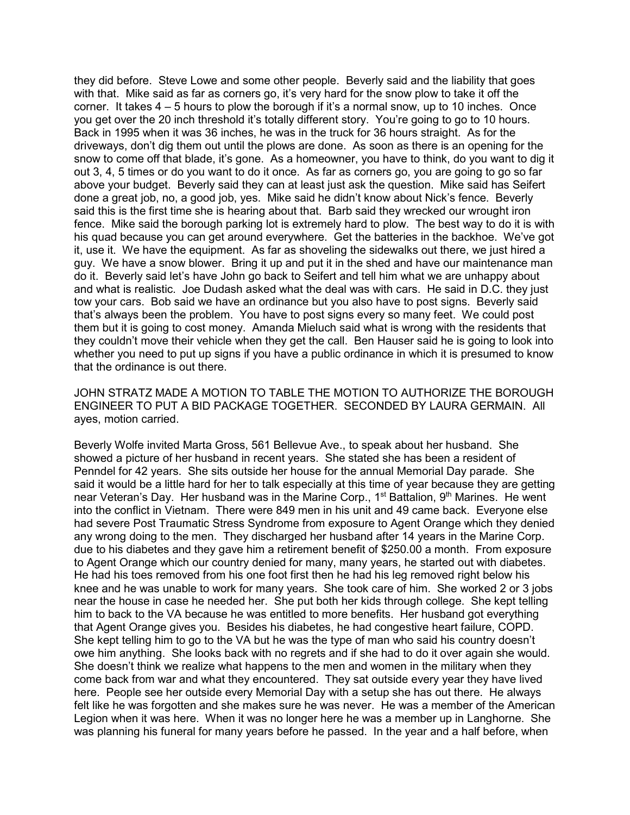they did before. Steve Lowe and some other people. Beverly said and the liability that goes with that. Mike said as far as corners go, it's very hard for the snow plow to take it off the corner. It takes 4 – 5 hours to plow the borough if it's a normal snow, up to 10 inches. Once you get over the 20 inch threshold it's totally different story. You're going to go to 10 hours. Back in 1995 when it was 36 inches, he was in the truck for 36 hours straight. As for the driveways, don't dig them out until the plows are done. As soon as there is an opening for the snow to come off that blade, it's gone. As a homeowner, you have to think, do you want to dig it out 3, 4, 5 times or do you want to do it once. As far as corners go, you are going to go so far above your budget. Beverly said they can at least just ask the question. Mike said has Seifert done a great job, no, a good job, yes. Mike said he didn't know about Nick's fence. Beverly said this is the first time she is hearing about that. Barb said they wrecked our wrought iron fence. Mike said the borough parking lot is extremely hard to plow. The best way to do it is with his quad because you can get around everywhere. Get the batteries in the backhoe. We've got it, use it. We have the equipment. As far as shoveling the sidewalks out there, we just hired a guy. We have a snow blower. Bring it up and put it in the shed and have our maintenance man do it. Beverly said let's have John go back to Seifert and tell him what we are unhappy about and what is realistic. Joe Dudash asked what the deal was with cars. He said in D.C. they just tow your cars. Bob said we have an ordinance but you also have to post signs. Beverly said that's always been the problem. You have to post signs every so many feet. We could post them but it is going to cost money. Amanda Mieluch said what is wrong with the residents that they couldn't move their vehicle when they get the call. Ben Hauser said he is going to look into whether you need to put up signs if you have a public ordinance in which it is presumed to know that the ordinance is out there.

JOHN STRATZ MADE A MOTION TO TABLE THE MOTION TO AUTHORIZE THE BOROUGH ENGINEER TO PUT A BID PACKAGE TOGETHER. SECONDED BY LAURA GERMAIN. All ayes, motion carried.

Beverly Wolfe invited Marta Gross, 561 Bellevue Ave., to speak about her husband. She showed a picture of her husband in recent years. She stated she has been a resident of Penndel for 42 years. She sits outside her house for the annual Memorial Day parade. She said it would be a little hard for her to talk especially at this time of year because they are getting near Veteran's Day. Her husband was in the Marine Corp.,  $1<sup>st</sup>$  Battalion,  $9<sup>th</sup>$  Marines. He went into the conflict in Vietnam. There were 849 men in his unit and 49 came back. Everyone else had severe Post Traumatic Stress Syndrome from exposure to Agent Orange which they denied any wrong doing to the men. They discharged her husband after 14 years in the Marine Corp. due to his diabetes and they gave him a retirement benefit of \$250.00 a month. From exposure to Agent Orange which our country denied for many, many years, he started out with diabetes. He had his toes removed from his one foot first then he had his leg removed right below his knee and he was unable to work for many years. She took care of him. She worked 2 or 3 jobs near the house in case he needed her. She put both her kids through college. She kept telling him to back to the VA because he was entitled to more benefits. Her husband got everything that Agent Orange gives you. Besides his diabetes, he had congestive heart failure, COPD. She kept telling him to go to the VA but he was the type of man who said his country doesn't owe him anything. She looks back with no regrets and if she had to do it over again she would. She doesn't think we realize what happens to the men and women in the military when they come back from war and what they encountered. They sat outside every year they have lived here. People see her outside every Memorial Day with a setup she has out there. He always felt like he was forgotten and she makes sure he was never. He was a member of the American Legion when it was here. When it was no longer here he was a member up in Langhorne. She was planning his funeral for many years before he passed. In the year and a half before, when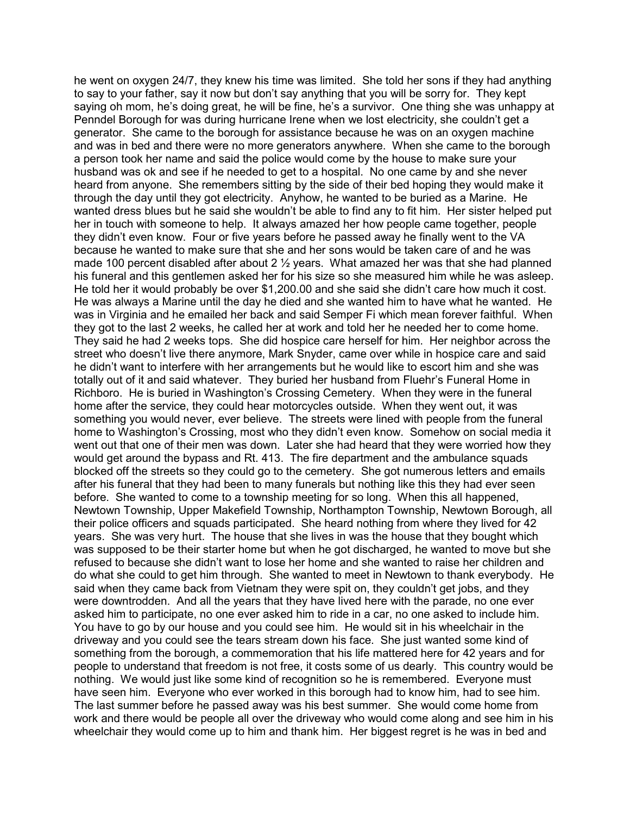he went on oxygen 24/7, they knew his time was limited. She told her sons if they had anything to say to your father, say it now but don't say anything that you will be sorry for. They kept saying oh mom, he's doing great, he will be fine, he's a survivor. One thing she was unhappy at Penndel Borough for was during hurricane Irene when we lost electricity, she couldn't get a generator. She came to the borough for assistance because he was on an oxygen machine and was in bed and there were no more generators anywhere. When she came to the borough a person took her name and said the police would come by the house to make sure your husband was ok and see if he needed to get to a hospital. No one came by and she never heard from anyone. She remembers sitting by the side of their bed hoping they would make it through the day until they got electricity. Anyhow, he wanted to be buried as a Marine. He wanted dress blues but he said she wouldn't be able to find any to fit him. Her sister helped put her in touch with someone to help. It always amazed her how people came together, people they didn't even know. Four or five years before he passed away he finally went to the VA because he wanted to make sure that she and her sons would be taken care of and he was made 100 percent disabled after about 2  $\frac{1}{2}$  years. What amazed her was that she had planned his funeral and this gentlemen asked her for his size so she measured him while he was asleep. He told her it would probably be over \$1,200.00 and she said she didn't care how much it cost. He was always a Marine until the day he died and she wanted him to have what he wanted. He was in Virginia and he emailed her back and said Semper Fi which mean forever faithful. When they got to the last 2 weeks, he called her at work and told her he needed her to come home. They said he had 2 weeks tops. She did hospice care herself for him. Her neighbor across the street who doesn't live there anymore, Mark Snyder, came over while in hospice care and said he didn't want to interfere with her arrangements but he would like to escort him and she was totally out of it and said whatever. They buried her husband from Fluehr's Funeral Home in Richboro. He is buried in Washington's Crossing Cemetery. When they were in the funeral home after the service, they could hear motorcycles outside. When they went out, it was something you would never, ever believe. The streets were lined with people from the funeral home to Washington's Crossing, most who they didn't even know. Somehow on social media it went out that one of their men was down. Later she had heard that they were worried how they would get around the bypass and Rt. 413. The fire department and the ambulance squads blocked off the streets so they could go to the cemetery. She got numerous letters and emails after his funeral that they had been to many funerals but nothing like this they had ever seen before. She wanted to come to a township meeting for so long. When this all happened, Newtown Township, Upper Makefield Township, Northampton Township, Newtown Borough, all their police officers and squads participated. She heard nothing from where they lived for 42 years. She was very hurt. The house that she lives in was the house that they bought which was supposed to be their starter home but when he got discharged, he wanted to move but she refused to because she didn't want to lose her home and she wanted to raise her children and do what she could to get him through. She wanted to meet in Newtown to thank everybody. He said when they came back from Vietnam they were spit on, they couldn't get jobs, and they were downtrodden. And all the years that they have lived here with the parade, no one ever asked him to participate, no one ever asked him to ride in a car, no one asked to include him. You have to go by our house and you could see him. He would sit in his wheelchair in the driveway and you could see the tears stream down his face. She just wanted some kind of something from the borough, a commemoration that his life mattered here for 42 years and for people to understand that freedom is not free, it costs some of us dearly. This country would be nothing. We would just like some kind of recognition so he is remembered. Everyone must have seen him. Everyone who ever worked in this borough had to know him, had to see him. The last summer before he passed away was his best summer. She would come home from work and there would be people all over the driveway who would come along and see him in his wheelchair they would come up to him and thank him. Her biggest regret is he was in bed and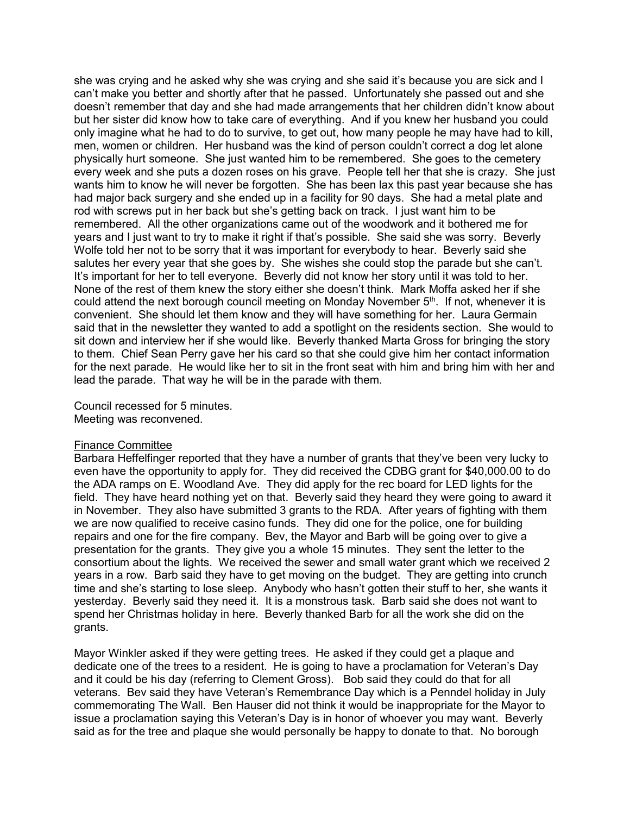she was crying and he asked why she was crying and she said it's because you are sick and I can't make you better and shortly after that he passed. Unfortunately she passed out and she doesn't remember that day and she had made arrangements that her children didn't know about but her sister did know how to take care of everything. And if you knew her husband you could only imagine what he had to do to survive, to get out, how many people he may have had to kill, men, women or children. Her husband was the kind of person couldn't correct a dog let alone physically hurt someone. She just wanted him to be remembered. She goes to the cemetery every week and she puts a dozen roses on his grave. People tell her that she is crazy. She just wants him to know he will never be forgotten. She has been lax this past year because she has had major back surgery and she ended up in a facility for 90 days. She had a metal plate and rod with screws put in her back but she's getting back on track. I just want him to be remembered. All the other organizations came out of the woodwork and it bothered me for years and I just want to try to make it right if that's possible. She said she was sorry. Beverly Wolfe told her not to be sorry that it was important for everybody to hear. Beverly said she salutes her every year that she goes by. She wishes she could stop the parade but she can't. It's important for her to tell everyone. Beverly did not know her story until it was told to her. None of the rest of them knew the story either she doesn't think. Mark Moffa asked her if she could attend the next borough council meeting on Monday November  $5<sup>th</sup>$ . If not, whenever it is convenient. She should let them know and they will have something for her. Laura Germain said that in the newsletter they wanted to add a spotlight on the residents section. She would to sit down and interview her if she would like. Beverly thanked Marta Gross for bringing the story to them. Chief Sean Perry gave her his card so that she could give him her contact information for the next parade. He would like her to sit in the front seat with him and bring him with her and lead the parade. That way he will be in the parade with them.

Council recessed for 5 minutes. Meeting was reconvened.

## Finance Committee

Barbara Heffelfinger reported that they have a number of grants that they've been very lucky to even have the opportunity to apply for. They did received the CDBG grant for \$40,000.00 to do the ADA ramps on E. Woodland Ave. They did apply for the rec board for LED lights for the field. They have heard nothing yet on that. Beverly said they heard they were going to award it in November. They also have submitted 3 grants to the RDA. After years of fighting with them we are now qualified to receive casino funds. They did one for the police, one for building repairs and one for the fire company. Bev, the Mayor and Barb will be going over to give a presentation for the grants. They give you a whole 15 minutes. They sent the letter to the consortium about the lights. We received the sewer and small water grant which we received 2 years in a row. Barb said they have to get moving on the budget. They are getting into crunch time and she's starting to lose sleep. Anybody who hasn't gotten their stuff to her, she wants it yesterday. Beverly said they need it. It is a monstrous task. Barb said she does not want to spend her Christmas holiday in here. Beverly thanked Barb for all the work she did on the grants.

Mayor Winkler asked if they were getting trees. He asked if they could get a plaque and dedicate one of the trees to a resident. He is going to have a proclamation for Veteran's Day and it could be his day (referring to Clement Gross). Bob said they could do that for all veterans. Bev said they have Veteran's Remembrance Day which is a Penndel holiday in July commemorating The Wall. Ben Hauser did not think it would be inappropriate for the Mayor to issue a proclamation saying this Veteran's Day is in honor of whoever you may want. Beverly said as for the tree and plaque she would personally be happy to donate to that. No borough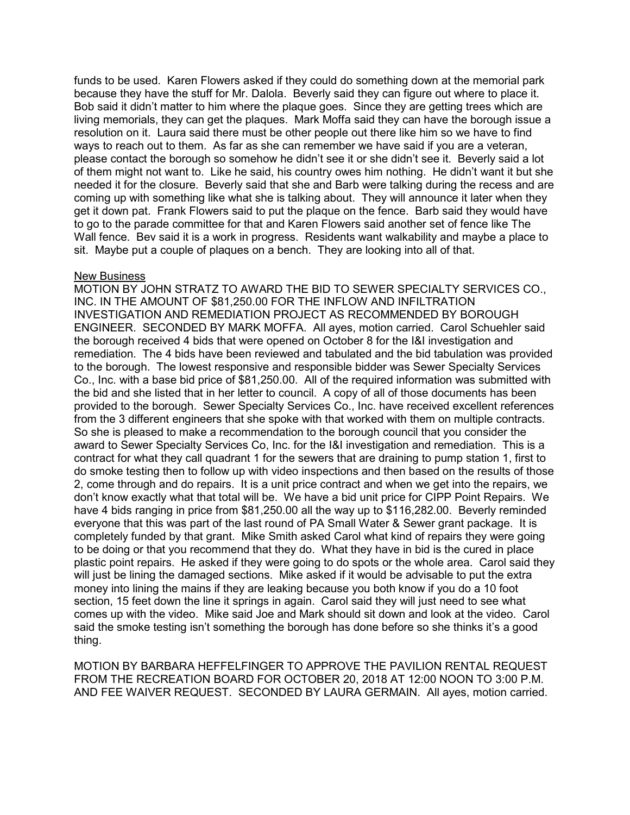funds to be used. Karen Flowers asked if they could do something down at the memorial park because they have the stuff for Mr. Dalola. Beverly said they can figure out where to place it. Bob said it didn't matter to him where the plaque goes. Since they are getting trees which are living memorials, they can get the plaques. Mark Moffa said they can have the borough issue a resolution on it. Laura said there must be other people out there like him so we have to find ways to reach out to them. As far as she can remember we have said if you are a veteran, please contact the borough so somehow he didn't see it or she didn't see it. Beverly said a lot of them might not want to. Like he said, his country owes him nothing. He didn't want it but she needed it for the closure. Beverly said that she and Barb were talking during the recess and are coming up with something like what she is talking about. They will announce it later when they get it down pat. Frank Flowers said to put the plaque on the fence. Barb said they would have to go to the parade committee for that and Karen Flowers said another set of fence like The Wall fence. Bev said it is a work in progress. Residents want walkability and maybe a place to sit. Maybe put a couple of plaques on a bench. They are looking into all of that.

### New Business

MOTION BY JOHN STRATZ TO AWARD THE BID TO SEWER SPECIALTY SERVICES CO., INC. IN THE AMOUNT OF \$81,250.00 FOR THE INFLOW AND INFILTRATION INVESTIGATION AND REMEDIATION PROJECT AS RECOMMENDED BY BOROUGH ENGINEER. SECONDED BY MARK MOFFA. All ayes, motion carried. Carol Schuehler said the borough received 4 bids that were opened on October 8 for the I&I investigation and remediation. The 4 bids have been reviewed and tabulated and the bid tabulation was provided to the borough. The lowest responsive and responsible bidder was Sewer Specialty Services Co., Inc. with a base bid price of \$81,250.00. All of the required information was submitted with the bid and she listed that in her letter to council. A copy of all of those documents has been provided to the borough. Sewer Specialty Services Co., Inc. have received excellent references from the 3 different engineers that she spoke with that worked with them on multiple contracts. So she is pleased to make a recommendation to the borough council that you consider the award to Sewer Specialty Services Co, Inc. for the I&I investigation and remediation. This is a contract for what they call quadrant 1 for the sewers that are draining to pump station 1, first to do smoke testing then to follow up with video inspections and then based on the results of those 2, come through and do repairs. It is a unit price contract and when we get into the repairs, we don't know exactly what that total will be. We have a bid unit price for CIPP Point Repairs. We have 4 bids ranging in price from \$81,250.00 all the way up to \$116,282.00. Beverly reminded everyone that this was part of the last round of PA Small Water & Sewer grant package. It is completely funded by that grant. Mike Smith asked Carol what kind of repairs they were going to be doing or that you recommend that they do. What they have in bid is the cured in place plastic point repairs. He asked if they were going to do spots or the whole area. Carol said they will just be lining the damaged sections. Mike asked if it would be advisable to put the extra money into lining the mains if they are leaking because you both know if you do a 10 foot section, 15 feet down the line it springs in again. Carol said they will just need to see what comes up with the video. Mike said Joe and Mark should sit down and look at the video. Carol said the smoke testing isn't something the borough has done before so she thinks it's a good thing.

MOTION BY BARBARA HEFFELFINGER TO APPROVE THE PAVILION RENTAL REQUEST FROM THE RECREATION BOARD FOR OCTOBER 20, 2018 AT 12:00 NOON TO 3:00 P.M. AND FEE WAIVER REQUEST. SECONDED BY LAURA GERMAIN. All ayes, motion carried.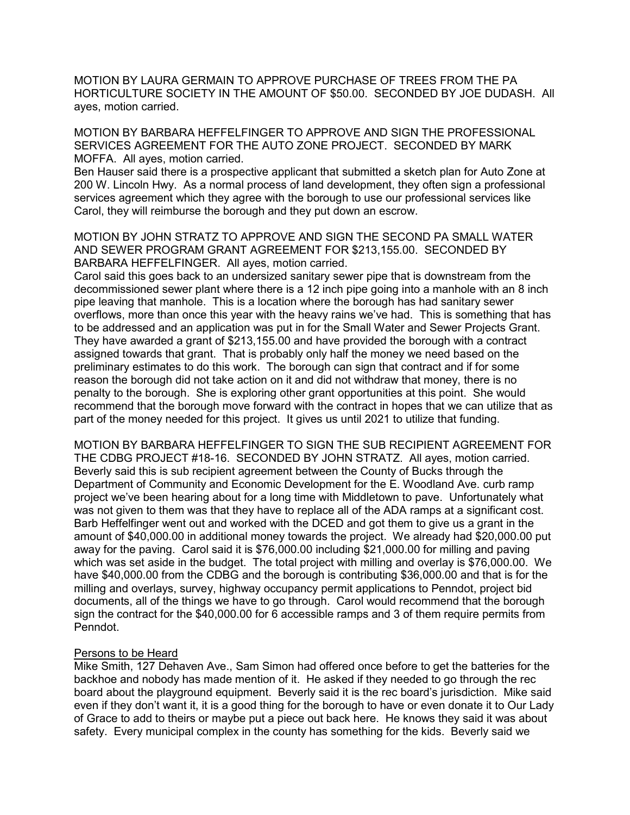MOTION BY LAURA GERMAIN TO APPROVE PURCHASE OF TREES FROM THE PA HORTICULTURE SOCIETY IN THE AMOUNT OF \$50.00. SECONDED BY JOE DUDASH. All ayes, motion carried.

MOTION BY BARBARA HEFFELFINGER TO APPROVE AND SIGN THE PROFESSIONAL SERVICES AGREEMENT FOR THE AUTO ZONE PROJECT. SECONDED BY MARK MOFFA. All ayes, motion carried.

Ben Hauser said there is a prospective applicant that submitted a sketch plan for Auto Zone at 200 W. Lincoln Hwy. As a normal process of land development, they often sign a professional services agreement which they agree with the borough to use our professional services like Carol, they will reimburse the borough and they put down an escrow.

MOTION BY JOHN STRATZ TO APPROVE AND SIGN THE SECOND PA SMALL WATER AND SEWER PROGRAM GRANT AGREEMENT FOR \$213,155.00. SECONDED BY BARBARA HEFFELFINGER. All ayes, motion carried.

Carol said this goes back to an undersized sanitary sewer pipe that is downstream from the decommissioned sewer plant where there is a 12 inch pipe going into a manhole with an 8 inch pipe leaving that manhole. This is a location where the borough has had sanitary sewer overflows, more than once this year with the heavy rains we've had. This is something that has to be addressed and an application was put in for the Small Water and Sewer Projects Grant. They have awarded a grant of \$213,155.00 and have provided the borough with a contract assigned towards that grant. That is probably only half the money we need based on the preliminary estimates to do this work. The borough can sign that contract and if for some reason the borough did not take action on it and did not withdraw that money, there is no penalty to the borough. She is exploring other grant opportunities at this point. She would recommend that the borough move forward with the contract in hopes that we can utilize that as part of the money needed for this project. It gives us until 2021 to utilize that funding.

MOTION BY BARBARA HEFFELFINGER TO SIGN THE SUB RECIPIENT AGREEMENT FOR THE CDBG PROJECT #18-16. SECONDED BY JOHN STRATZ. All ayes, motion carried. Beverly said this is sub recipient agreement between the County of Bucks through the Department of Community and Economic Development for the E. Woodland Ave. curb ramp project we've been hearing about for a long time with Middletown to pave. Unfortunately what was not given to them was that they have to replace all of the ADA ramps at a significant cost. Barb Heffelfinger went out and worked with the DCED and got them to give us a grant in the amount of \$40,000.00 in additional money towards the project. We already had \$20,000.00 put away for the paving. Carol said it is \$76,000.00 including \$21,000.00 for milling and paving which was set aside in the budget. The total project with milling and overlay is \$76,000.00. We have \$40,000.00 from the CDBG and the borough is contributing \$36,000.00 and that is for the milling and overlays, survey, highway occupancy permit applications to Penndot, project bid documents, all of the things we have to go through. Carol would recommend that the borough sign the contract for the \$40,000.00 for 6 accessible ramps and 3 of them require permits from Penndot.

## Persons to be Heard

Mike Smith, 127 Dehaven Ave., Sam Simon had offered once before to get the batteries for the backhoe and nobody has made mention of it. He asked if they needed to go through the rec board about the playground equipment. Beverly said it is the rec board's jurisdiction. Mike said even if they don't want it, it is a good thing for the borough to have or even donate it to Our Lady of Grace to add to theirs or maybe put a piece out back here. He knows they said it was about safety. Every municipal complex in the county has something for the kids. Beverly said we